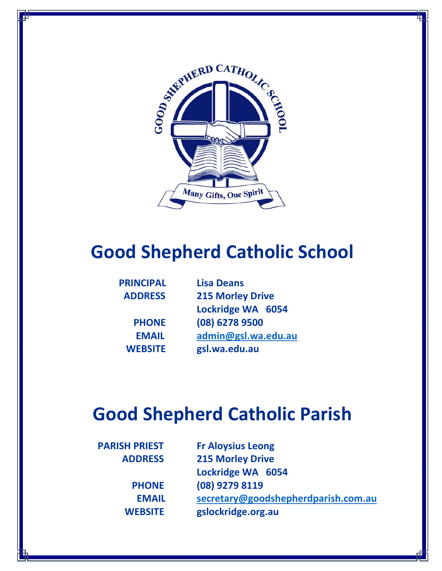

# **Good Shepherd Catholic School**

| <b>PRINCIPAL</b> | <b>Lisa Deans</b>       |  |
|------------------|-------------------------|--|
| <b>ADDRESS</b>   | <b>215 Morley Drive</b> |  |
|                  | Lockridge WA 6054       |  |
| <b>PHONE</b>     | (08) 6278 9500          |  |
| <b>EMAIL</b>     | admin@gsl.wa.edu.au     |  |
| <b>WEBSITE</b>   | gsl.wa.edu.au           |  |

# **Good Shepherd Catholic Parish**

| <b>PARISH PRIEST</b> | <b>Fr Aloysius Leong</b>            |
|----------------------|-------------------------------------|
| <b>ADDRESS</b>       | <b>215 Morley Drive</b>             |
|                      | Lockridge WA 6054                   |
| <b>PHONE</b>         | (08) 9279 8119                      |
| <b>EMAIL</b>         | secretary@goodshepherdparish.com.au |
| <b>WEBSITE</b>       | gslockridge.org.au                  |
|                      |                                     |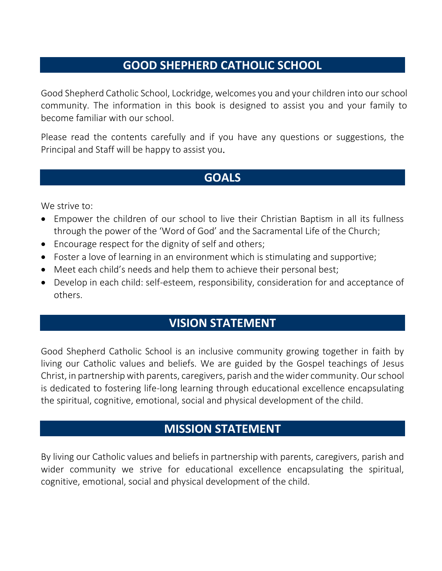#### **GOOD SHEPHERD CATHOLIC SCHOOL**

Good Shepherd Catholic School, Lockridge, welcomes you and your children into our school community. The information in this book is designed to assist you and your family to become familiar with our school.

Please read the contents carefully and if you have any questions or suggestions, the Principal and Staff will be happy to assist you.

## **GOALS**

We strive to:

- Empower the children of our school to live their Christian Baptism in all its fullness through the power of the 'Word of God' and the Sacramental Life of the Church;
- Encourage respect for the dignity of self and others;
- Foster a love of learning in an environment which is stimulating and supportive;
- Meet each child's needs and help them to achieve their personal best;
- Develop in each child: self-esteem, responsibility, consideration for and acceptance of others.

#### **VISION STATEMENT**

Good Shepherd Catholic School is an inclusive community growing together in faith by living our Catholic values and beliefs. We are guided by the Gospel teachings of Jesus Christ, in partnership with parents, caregivers, parish and the wider community. Ourschool is dedicated to fostering life-long learning through educational excellence encapsulating the spiritual, cognitive, emotional, social and physical development of the child.

#### **MISSION STATEMENT**

By living our Catholic values and beliefs in partnership with parents, caregivers, parish and wider community we strive for educational excellence encapsulating the spiritual, cognitive, emotional, social and physical development of the child.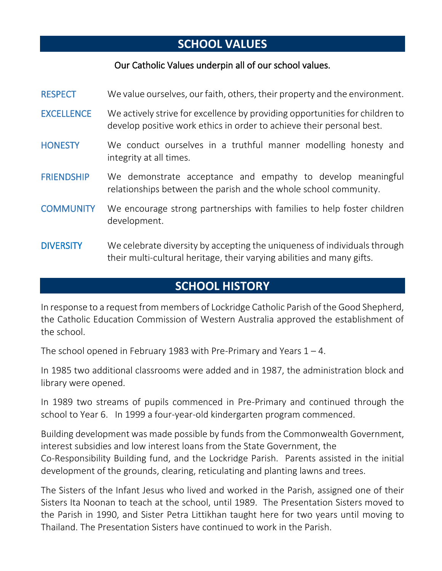## **SCHOOL VALUES**

#### Our Catholic Values underpin all of our school values.

| <b>RESPECT</b>    | We value ourselves, our faith, others, their property and the environment.                                                                            |
|-------------------|-------------------------------------------------------------------------------------------------------------------------------------------------------|
| <b>EXCELLENCE</b> | We actively strive for excellence by providing opportunities for children to<br>develop positive work ethics in order to achieve their personal best. |
| <b>HONESTY</b>    | We conduct ourselves in a truthful manner modelling honesty and<br>integrity at all times.                                                            |
| <b>FRIENDSHIP</b> | We demonstrate acceptance and empathy to develop meaningful<br>relationships between the parish and the whole school community.                       |
| <b>COMMUNITY</b>  | We encourage strong partnerships with families to help foster children<br>development.                                                                |
| <b>DIVERSITY</b>  | We celebrate diversity by accepting the uniqueness of individuals through<br>their multi-cultural heritage, their varying abilities and many gifts.   |

## **SCHOOL HISTORY**

In response to a request from members of Lockridge Catholic Parish of the Good Shepherd, the Catholic Education Commission of Western Australia approved the establishment of the school.

The school opened in February 1983 with Pre-Primary and Years  $1 - 4$ .

In 1985 two additional classrooms were added and in 1987, the administration block and library were opened.

In 1989 two streams of pupils commenced in Pre-Primary and continued through the school to Year 6. In 1999 a four-year-old kindergarten program commenced.

Building development was made possible by funds from the Commonwealth Government, interest subsidies and low interest loans from the State Government, the Co-Responsibility Building fund, and the Lockridge Parish. Parents assisted in the initial development of the grounds, clearing, reticulating and planting lawns and trees.

The Sisters of the Infant Jesus who lived and worked in the Parish, assigned one of their Sisters Ita Noonan to teach at the school, until 1989. The Presentation Sisters moved to the Parish in 1990, and Sister Petra Littikhan taught here for two years until moving to Thailand. The Presentation Sisters have continued to work in the Parish.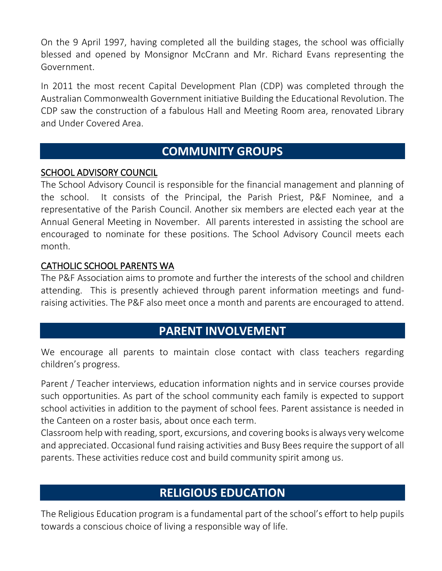On the 9 April 1997, having completed all the building stages, the school was officially blessed and opened by Monsignor McCrann and Mr. Richard Evans representing the Government.

In 2011 the most recent Capital Development Plan (CDP) was completed through the Australian Commonwealth Government initiative Building the Educational Revolution. The CDP saw the construction of a fabulous Hall and Meeting Room area, renovated Library and Under Covered Area.

#### **COMMUNITY GROUPS**

#### SCHOOL ADVISORY COUNCIL

The School Advisory Council is responsible for the financial management and planning of the school. It consists of the Principal, the Parish Priest, P&F Nominee, and a representative of the Parish Council. Another six members are elected each year at the Annual General Meeting in November. All parents interested in assisting the school are encouraged to nominate for these positions. The School Advisory Council meets each month.

#### CATHOLIC SCHOOL PARENTS WA

The P&F Association aims to promote and further the interests of the school and children attending. This is presently achieved through parent information meetings and fundraising activities. The P&F also meet once a month and parents are encouraged to attend.

#### **PARENT INVOLVEMENT**

We encourage all parents to maintain close contact with class teachers regarding children's progress.

Parent / Teacher interviews, education information nights and in service courses provide such opportunities. As part of the school community each family is expected to support school activities in addition to the payment of school fees. Parent assistance is needed in the Canteen on a roster basis, about once each term.

Classroom help with reading, sport, excursions, and covering books is always very welcome and appreciated. Occasional fund raising activities and Busy Bees require the support of all parents. These activities reduce cost and build community spirit among us.

## **RELIGIOUS EDUCATION**

The Religious Education program is a fundamental part of the school's effort to help pupils towards a conscious choice of living a responsible way of life.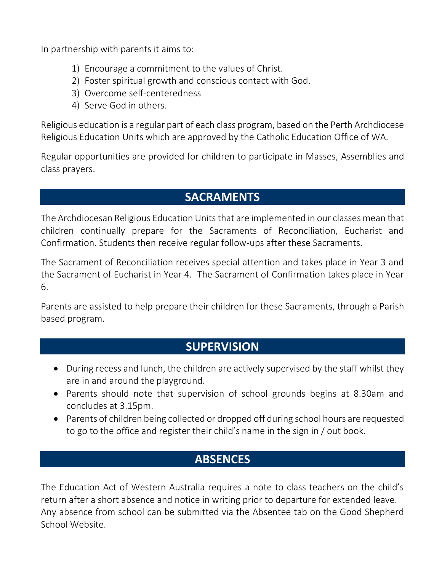In partnership with parents it aims to:

- 1) Encourage a commitment to the values of Christ.
- 2) Foster spiritual growth and conscious contact with God.
- 3) Overcome self-centeredness
- 4) Serve God in others.

Religious education is a regular part of each class program, based on the Perth Archdiocese Religious Education Units which are approved by the Catholic Education Office of WA.

Regular opportunities are provided for children to participate in Masses, Assemblies and class prayers.

#### **SACRAMENTS**

The Archdiocesan Religious Education Units that are implemented in our classes mean that children continually prepare for the Sacraments of Reconciliation, Eucharist and Confirmation. Students then receive regular follow-ups after these Sacraments.

The Sacrament of Reconciliation receives special attention and takes place in Year 3 and the Sacrament of Eucharist in Year 4. The Sacrament of Confirmation takes place in Year 6.

Parents are assisted to help prepare their children for these Sacraments, through a Parish based program.

#### **SUPERVISION**

- During recess and lunch, the children are actively supervised by the staff whilst they are in and around the playground.
- Parents should note that supervision of school grounds begins at 8.30am and concludes at 3.15pm.
- Parents of children being collected or dropped off during school hours are requested to go to the office and register their child's name in the sign in / out book.

## **ABSENCES**

The Education Act of Western Australia requires a note to class teachers on the child's return after a short absence and notice in writing prior to departure for extended leave. Any absence from school can be submitted via the Absentee tab on the Good Shepherd School Website.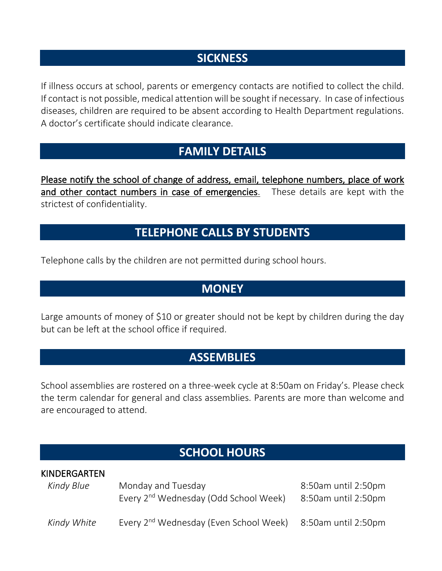## **SICKNESS**

If illness occurs at school, parents or emergency contacts are notified to collect the child. If contact is not possible, medical attention will be sought if necessary. In case of infectious diseases, children are required to be absent according to Health Department regulations. A doctor's certificate should indicate clearance.

## **FAMILY DETAILS**

Please notify the school of change of address, email, telephone numbers, place of work and other contact numbers in case of emergencies. These details are kept with the strictest of confidentiality.

## **TELEPHONE CALLS BY STUDENTS**

Telephone calls by the children are not permitted during school hours.

## **MONEY**

Large amounts of money of \$10 or greater should not be kept by children during the day but can be left at the school office if required.

## **ASSEMBLIES**

School assemblies are rostered on a three-week cycle at 8:50am on Friday's. Please check the term calendar for general and class assemblies. Parents are more than welcome and are encouraged to attend.

#### **SCHOOL HOURS**

| <b>KINDERGARTEN</b> |                                                                         |                     |
|---------------------|-------------------------------------------------------------------------|---------------------|
| Kindy Blue          | Monday and Tuesday<br>Every 2 <sup>nd</sup> Wednesday (Odd School Week) | 8:50am until 2:50pm |
|                     |                                                                         | 8:50am until 2:50pm |
| Kindy White         | Every 2 <sup>nd</sup> Wednesday (Even School Week)                      | 8:50am until 2:50pm |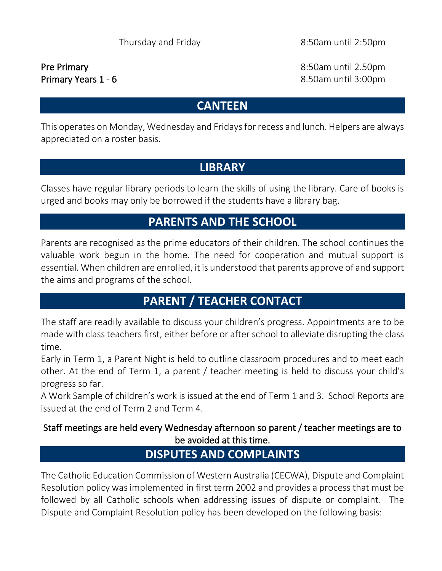Pre Primary **But and the Contract Contract Contract Contract Contract Contract Contract Contract Contract Contract Contract Contract Contract Contract Contract Contract Contract Contract Contract Contract Contract Contract** Primary Years 1 - 6 8.50am until 3:00pm

## **CANTEEN**

This operates on Monday, Wednesday and Fridays for recess and lunch. Helpers are always appreciated on a roster basis.

## **LIBRARY**

Classes have regular library periods to learn the skills of using the library. Care of books is urged and books may only be borrowed if the students have a library bag.

## **PARENTS AND THE SCHOOL**

Parents are recognised as the prime educators of their children. The school continues the valuable work begun in the home. The need for cooperation and mutual support is essential. When children are enrolled, it is understood that parents approve of and support the aims and programs of the school.

## **PARENT / TEACHER CONTACT**

The staff are readily available to discuss your children's progress. Appointments are to be made with class teachers first, either before or after school to alleviate disrupting the class time.

Early in Term 1, a Parent Night is held to outline classroom procedures and to meet each other. At the end of Term 1, a parent / teacher meeting is held to discuss your child's progress so far.

A Work Sample of children's work is issued at the end of Term 1 and 3. School Reports are issued at the end of Term 2 and Term 4.

#### Staff meetings are held every Wednesday afternoon so parent / teacher meetings are to be avoided at this time.

## **DISPUTES AND COMPLAINTS**

The Catholic Education Commission of Western Australia (CECWA), Dispute and Complaint Resolution policy was implemented in first term 2002 and provides a process that must be followed by all Catholic schools when addressing issues of dispute or complaint. The Dispute and Complaint Resolution policy has been developed on the following basis: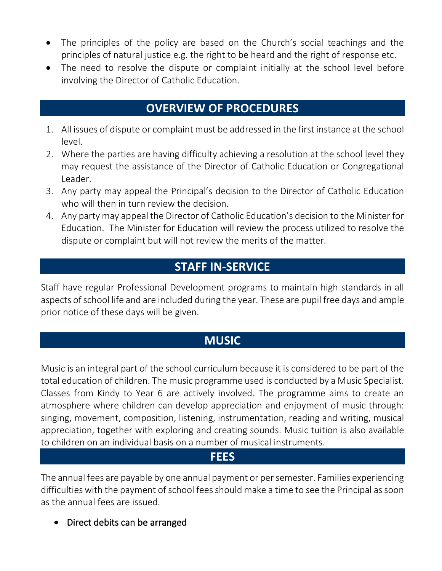- The principles of the policy are based on the Church's social teachings and the principles of natural justice e.g. the right to be heard and the right of response etc.
- The need to resolve the dispute or complaint initially at the school level before involving the Director of Catholic Education.

#### **OVERVIEW OF PROCEDURES**

- 1. All issues of dispute or complaint must be addressed in the first instance at the school level.
- 2. Where the parties are having difficulty achieving a resolution at the school level they may request the assistance of the Director of Catholic Education or Congregational Leader.
- 3. Any party may appeal the Principal's decision to the Director of Catholic Education who will then in turn review the decision.
- 4. Any party may appeal the Director of Catholic Education's decision to the Minister for Education. The Minister for Education will review the process utilized to resolve the dispute or complaint but will not review the merits of the matter.

## **STAFF IN-SERVICE**

Staff have regular Professional Development programs to maintain high standards in all aspects of school life and are included during the year. These are pupil free days and ample prior notice of these days will be given.

## **MUSIC**

Music is an integral part of the school curriculum because it is considered to be part of the total education of children. The music programme used is conducted by a Music Specialist. Classes from Kindy to Year 6 are actively involved. The programme aims to create an atmosphere where children can develop appreciation and enjoyment of music through: singing, movement, composition, listening, instrumentation, reading and writing, musical appreciation, together with exploring and creating sounds. Music tuition is also available to children on an individual basis on a number of musical instruments.

#### **FEES**

The annual fees are payable by one annual payment or per semester. Families experiencing difficulties with the payment of school fees should make a time to see the Principal as soon as the annual fees are issued.

• Direct debits can be arranged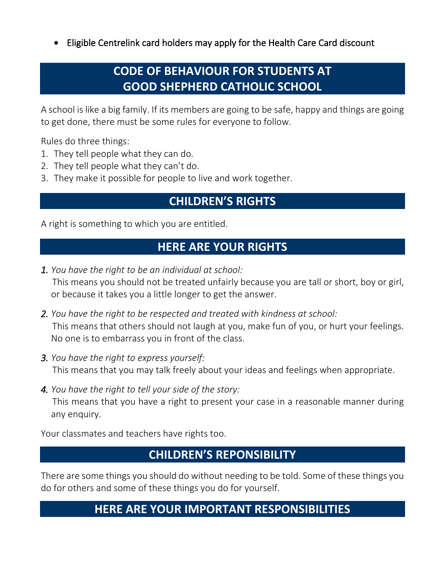• Eligible Centrelink card holders may apply for the Health Care Card discount

## **CODE OF BEHAVIOUR FOR STUDENTS AT GOOD SHEPHERD CATHOLIC SCHOOL**

A school is like a big family. If its members are going to be safe, happy and things are going to get done, there must be some rules for everyone to follow.

Rules do three things:

- 1. They tell people what they can do.
- 2. They tell people what they can't do.
- 3. They make it possible for people to live and work together.

## **CHILDREN'S RIGHTS**

A right is something to which you are entitled.

## **HERE ARE YOUR RIGHTS**

- *1. You have the right to be an individual at school:*  This means you should not be treated unfairly because you are tall or short, boy or girl, or because it takes you a little longer to get the answer.
- *2. You have the right to be respected and treated with kindness at school:*  This means that others should not laugh at you, make fun of you, or hurt your feelings. No one is to embarrass you in front of the class.
- *3. You have the right to express yourself:*  This means that you may talk freely about your ideas and feelings when appropriate.
- *4. You have the right to tell your side of the story:*  This means that you have a right to present your case in a reasonable manner during any enquiry.

Your classmates and teachers have rights too.

#### **CHILDREN'S REPONSIBILITY**

There are some things you should do without needing to be told. Some of these things you do for others and some of these things you do for yourself.

## **HERE ARE YOUR IMPORTANT RESPONSIBILITIES**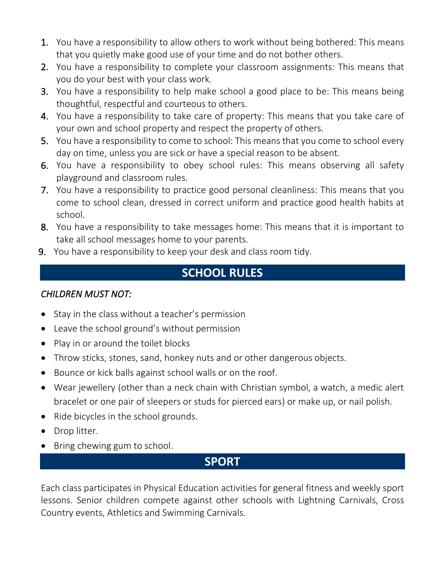- **1.** You have a responsibility to allow others to work without being bothered: This means that you quietly make good use of your time and do not bother others.
- 2. You have a responsibility to complete your classroom assignments: This means that you do your best with your class work.
- 3. You have a responsibility to help make school a good place to be: This means being thoughtful, respectful and courteous to others.
- 4. You have a responsibility to take care of property: This means that you take care of your own and school property and respect the property of others.
- 5. You have a responsibility to come to school: This means that you come to school every day on time, unless you are sick or have a special reason to be absent.
- 6. You have a responsibility to obey school rules: This means observing all safety playground and classroom rules.
- 7. You have a responsibility to practice good personal cleanliness: This means that you come to school clean, dressed in correct uniform and practice good health habits at school.
- 8. You have a responsibility to take messages home: This means that it is important to take all school messages home to your parents.
- 9. You have a responsibility to keep your desk and class room tidy.

## **SCHOOL RULES**

#### *CHILDREN MUST NOT:*

- Stay in the class without a teacher's permission
- Leave the school ground's without permission
- Play in or around the toilet blocks
- Throw sticks, stones, sand, honkey nuts and or other dangerous objects.
- Bounce or kick balls against school walls or on the roof.
- Wear jewellery (other than a neck chain with Christian symbol, a watch, a medic alert bracelet or one pair of sleepers or studs for pierced ears) or make up, or nail polish.
- Ride bicycles in the school grounds.
- Drop litter.
- Bring chewing gum to school.

## **SPORT**

Each class participates in Physical Education activities for general fitness and weekly sport lessons. Senior children compete against other schools with Lightning Carnivals, Cross Country events, Athletics and Swimming Carnivals.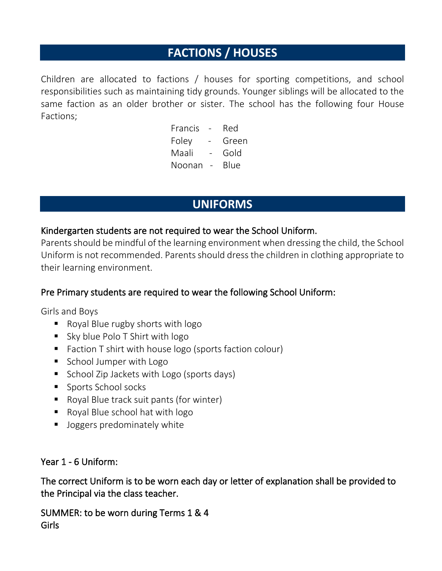## **FACTIONS / HOUSES**

Children are allocated to factions / houses for sporting competitions, and school responsibilities such as maintaining tidy grounds. Younger siblings will be allocated to the same faction as an older brother or sister. The school has the following four House Factions;

> Francis - Red Foley - Green Maali - Gold Noonan - Blue

## **UNIFORMS**

#### Kindergarten students are not required to wear the School Uniform.

Parents should be mindful of the learning environment when dressing the child, the School Uniform is not recommended. Parents should dress the children in clothing appropriate to their learning environment.

#### Pre Primary students are required to wear the following School Uniform:

Girls and Boys

- Royal Blue rugby shorts with logo
- Sky blue Polo T Shirt with logo
- Faction T shirt with house logo (sports faction colour)
- School Jumper with Logo
- School Zip Jackets with Logo (sports days)
- Sports School socks
- Royal Blue track suit pants (for winter)
- Royal Blue school hat with logo
- **■** Joggers predominately white

#### Year 1 - 6 Uniform:

The correct Uniform is to be worn each day or letter of explanation shall be provided to the Principal via the class teacher.

SUMMER: to be worn during Terms 1 & 4 Girls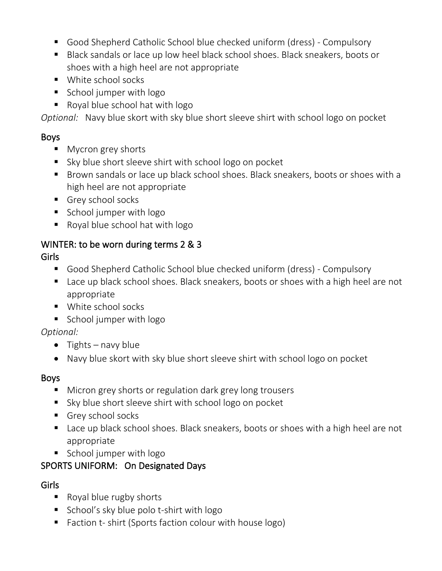- Good Shepherd Catholic School blue checked uniform (dress) Compulsory
- Black sandals or lace up low heel black school shoes. Black sneakers, boots or shoes with a high heel are not appropriate
- White school socks
- School jumper with logo
- Royal blue school hat with logo

*Optional:* Navy blue skort with sky blue short sleeve shirt with school logo on pocket

#### Boys

- Mycron grey shorts
- Sky blue short sleeve shirt with school logo on pocket
- Brown sandals or lace up black school shoes. Black sneakers, boots or shoes with a high heel are not appropriate
- Grey school socks
- School jumper with logo
- Royal blue school hat with logo

#### WINTER: to be worn during terms 2 & 3

#### Girls

- Good Shepherd Catholic School blue checked uniform (dress) Compulsory
- Lace up black school shoes. Black sneakers, boots or shoes with a high heel are not appropriate
- White school socks
- School jumper with logo

#### *Optional:*

- Tights navy blue
- Navy blue skort with sky blue short sleeve shirt with school logo on pocket

#### Boys

- Micron grey shorts or regulation dark grey long trousers
- Sky blue short sleeve shirt with school logo on pocket
- Grey school socks
- Lace up black school shoes. Black sneakers, boots or shoes with a high heel are not appropriate
- School jumper with logo

#### SPORTS UNIFORM: On Designated Days

#### Girls

- Royal blue rugby shorts
- School's sky blue polo t-shirt with logo
- Faction t- shirt (Sports faction colour with house logo)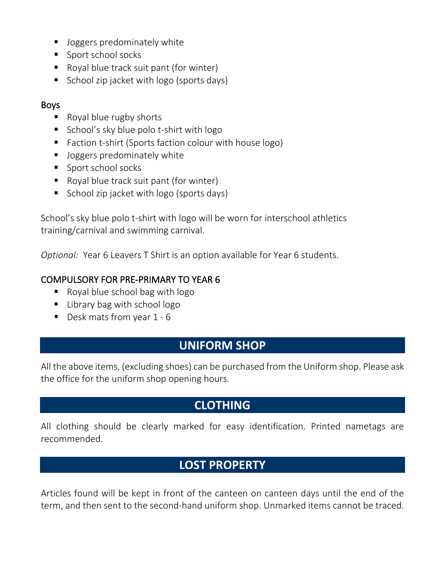- Joggers predominately white
- Sport school socks
- Royal blue track suit pant (for winter)
- School zip jacket with logo (sports days)

#### Boys

- Royal blue rugby shorts
- School's sky blue polo t-shirt with logo
- Faction t-shirt (Sports faction colour with house logo)
- **■** Joggers predominately white
- Sport school socks
- Royal blue track suit pant (for winter)
- School zip jacket with logo (sports days)

School's sky blue polo t-shirt with logo will be worn for interschool athletics training/carnival and swimming carnival.

*Optional:* Year 6 Leavers T Shirt is an option available for Year 6 students.

#### COMPULSORY FOR PRE-PRIMARY TO YEAR 6

- $\blacksquare$  Royal blue school bag with logo
- Library bag with school logo
- Desk mats from year 1 6

#### **UNIFORM SHOP**

All the above items, (excluding shoes) can be purchased from the Uniform shop. Please ask the office for the uniform shop opening hours.

## **CLOTHING**

All clothing should be clearly marked for easy identification. Printed nametags are recommended.

## **LOST PROPERTY**

Articles found will be kept in front of the canteen on canteen days until the end of the term, and then sent to the second-hand uniform shop. Unmarked items cannot be traced.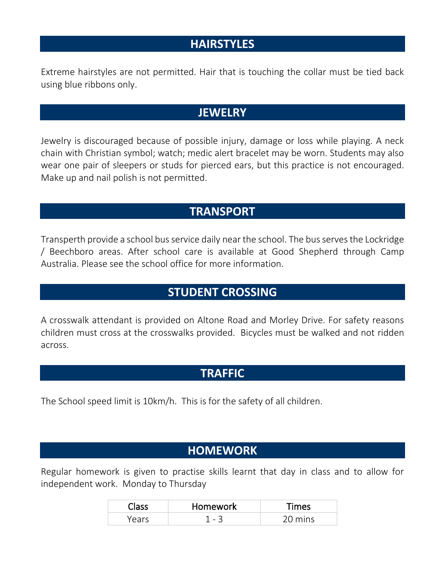#### **HAIRSTYLES**

Extreme hairstyles are not permitted. Hair that is touching the collar must be tied back using blue ribbons only.

#### **JEWELRY**

Jewelry is discouraged because of possible injury, damage or loss while playing. A neck chain with Christian symbol; watch; medic alert bracelet may be worn. Students may also wear one pair of sleepers or studs for pierced ears, but this practice is not encouraged. Make up and nail polish is not permitted.

#### **TRANSPORT**

Transperth provide a school bus service daily near the school. The bus serves the Lockridge / Beechboro areas. After school care is available at Good Shepherd through Camp Australia. Please see the school office for more information.

#### **STUDENT CROSSING**

A crosswalk attendant is provided on Altone Road and Morley Drive. For safety reasons children must cross at the crosswalks provided. Bicycles must be walked and not ridden across.

#### **TRAFFIC**

The School speed limit is 10km/h. This is for the safety of all children.

#### **HOMEWORK**

Regular homework is given to practise skills learnt that day in class and to allow for independent work. Monday to Thursday

| Homework    | ີ່™≏ເ |
|-------------|-------|
| ∽<br>$\sim$ |       |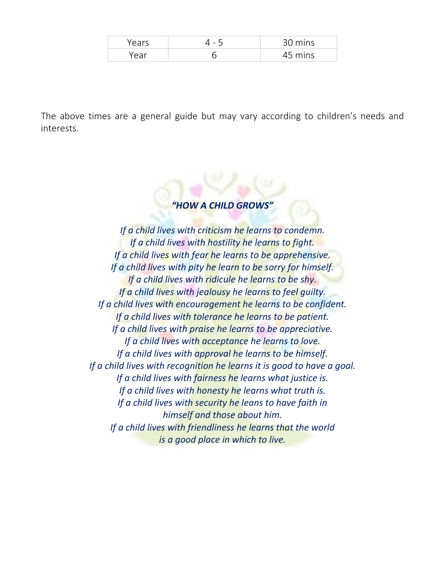| $\overline{\phantom{0}}$ | mine<br>$\cap$    |
|--------------------------|-------------------|
|                          | <sup>"</sup> mins |

The above times are a general guide but may vary according to children's needs and interests.

#### *"HOW A CHILD GROWS"*

*If a child lives with criticism he learns to condemn. If a child lives with hostility he learns to fight. If a child lives with fear he learns to be apprehensive. If a child lives with pity he learn to be sorry for himself. If a child lives with ridicule he learns to be shy. If a child lives with jealousy he learns to feel guilty. If a child lives with encouragement he learns to be confident. If a child lives with tolerance he learns to be patient. If a child lives with praise he learns to be appreciative. If a child lives with acceptance he learns to love. If a child lives with approval he learns to be himself. If a child lives with recognition he learns it is good to have a goal. If a child lives with fairness he learns what justice is. If a child lives with honesty he learns what truth is. If a child lives with security he leans to have faith in himself and those about him. If a child lives with friendliness he learns that the world is a good place in which to live.*